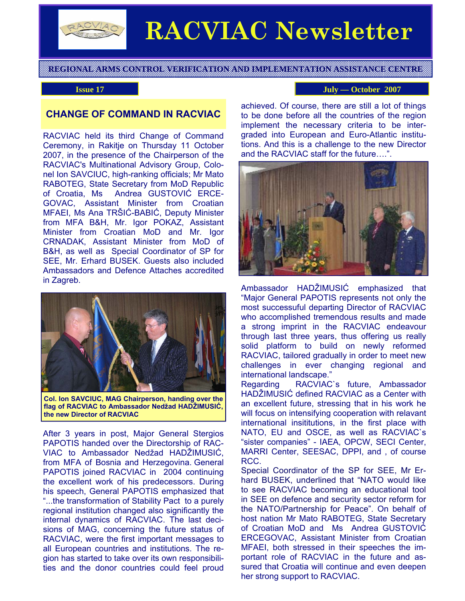

# **RACVIAC Newsletter**

**REGIONAL ARMS CONTROL VERIFICATION AND IMPLEMENTATION ASSISTANCE CENTRE** 

#### **CHANGE OF COMMAND IN RACVIAC**

RACVIAC held its third Change of Command Ceremony, in Rakitje on Thursday 11 October 2007, in the presence of the Chairperson of the RACVIAC's Multinational Advisory Group, Colonel Ion SAVCIUC, high-ranking officials; Mr Mato RABOTEG, State Secretary from MoD Republic of Croatia, Ms Andrea GUSTOVIĆ ERCE-GOVAC, Assistant Minister from Croatian MFAEI, Ms Ana TRŠIĆ-BABIĆ, Deputy Minister from MFA B&H, Mr. Igor POKAZ, Assistant Minister from Croatian MoD and Mr. Igor CRNADAK, Assistant Minister from MoD of B&H, as well as Special Coordinator of SP for SEE, Mr. Erhard BUSEK. Guests also included Ambassadors and Defence Attaches accredited in Zagreb.



**Col. Ion SAVCIUC, MAG Chairperson, handing over the flag of RACVIAC to Ambassador Nedžad HADŽIMUSIĆ, the new Director of RACVIAC** 

After 3 years in post, Major General Stergios PAPOTIS handed over the Directorship of RAC-VIAC to Ambassador Nedžad HADŽIMUSIĆ, from MFA of Bosnia and Herzegovina. General PAPOTIS joined RACVIAC in 2004 continuing the excellent work of his predecessors. During his speech, General PAPOTIS emphasized that "...the transformation of Stability Pact to a purely regional institution changed also significantly the internal dynamics of RACVIAC. The last decisions of MAG, concerning the future status of RACVIAC, were the first important messages to all European countries and institutions. The region has started to take over its own responsibilities and the donor countries could feel proud

#### **Issue 17 Issue 17 Issue 17 Issue 17 Issue 17 Issue 17 Issue 17 Issue 2007**

achieved. Of course, there are still a lot of things to be done before all the countries of the region implement the necessary criteria to be intergraded into European and Euro-Atlantic institutions. And this is a challenge to the new Director and the RACVIAC staff for the future….".



Ambassador HADŽIMUSIĆ emphasized that "Major General PAPOTIS represents not only the most successuful departing Director of RACVIAC who accomplished tremendous results and made a strong imprint in the RACVIAC endeavour through last three years, thus offering us really solid platform to build on newly reformed RACVIAC, tailored gradually in order to meet new challenges in ever changing regional and international landscape."

Regarding RACVIAC`s future, Ambassador HADŽIMUSIĆ defined RACVIAC as a Center with an excellent future, stressing that in his work he will focus on intensifying cooperation with relavant international insititutions, in the first place with NATO, EU and OSCE, as well as RACVIAC`s "sister companies" - IAEA, OPCW, SECI Center, MARRI Center, SEESAC, DPPI, and , of course RCC.

Special Coordinator of the SP for SEE, Mr Erhard BUSEK, underlined that "NATO would like to see RACVIAC becoming an educational tool in SEE on defence and security sector reform for the NATO/Partnership for Peace". On behalf of host nation Mr Mato RABOTEG, State Secretary of Croatian MoD and Ms Andrea GUSTOVIĆ ERCEGOVAC, Assistant Minister from Croatian MFAEI, both stressed in their speeches the important role of RACVIAC in the future and assured that Croatia will continue and even deepen her strong support to RACVIAC.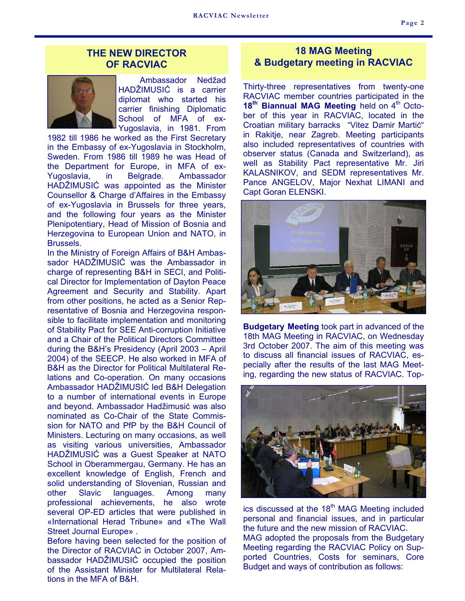#### **THE NEW DIRECTOR OF RACVIAC**



 Ambassador Nedžad HADŽIMUSIĆ is a carrier diplomat who started his carrier finishing Diplomatic School of MFA of ex-Yugoslavia, in 1981. From

1982 till 1986 he worked as the First Secretary in the Embassy of ex-Yugoslavia in Stockholm, Sweden. From 1986 till 1989 he was Head of the Department for Europe, in MFA of ex-Yugoslavia, in Belgrade. Ambassador HADŽIMUSIĆ was appointed as the Minister Counsellor & Charge d'Affaires in the Embassy of ex-Yugoslavia in Brussels for three years, and the following four years as the Minister Plenipotentiary, Head of Mission of Bosnia and Herzegovina to European Union and NATO, in Brussels.

In the Ministry of Foreign Affairs of B&H Ambassador HADŽIMUSIĆ was the Ambassador in charge of representing B&H in SECI, and Political Director for Implementation of Dayton Peace Agreement and Security and Stability. Apart from other positions, he acted as a Senior Representative of Bosnia and Herzegovina responsible to facilitate implementation and monitoring of Stability Pact for SEE Anti-corruption Initiative and a Chair of the Political Directors Committee during the B&H's Presidency (April 2003 – April 2004) of the SEECP. He also worked in MFA of B&H as the Director for Political Multilateral Relations and Co-operation. On many occasions Ambassador HADŽIMUSIĆ led B&H Delegation to a number of international events in Europe and beyond. Ambassador Hadžimusić was also nominated as Co-Chair of the State Commission for NATO and PfP by the B&H Council of Ministers. Lecturing on many occasions, as well as visiting various universities, Ambassador HADŽIMUSIĆ was a Guest Speaker at NATO School in Oberammergau, Germany. He has an excellent knowledge of English, French and solid understanding of Slovenian, Russian and other Slavic languages. Among many professional achievements, he also wrote several OP-ED articles that were published in «International Herad Tribune» and «The Wall Street Journal Europe» .

Before having been selected for the position of the Director of RACVIAC in October 2007, Ambassador HADŽIMUSIĆ occupied the position of the Assistant Minister for Multilateral Relations in the MFA of B&H.

## **18 MAG Meeting & Budgetary meeting in RACVIAC**

Thirty-three representatives from twenty-one RACVIAC member countries participated in the 18<sup>th</sup> Biannual MAG Meeting held on 4<sup>th</sup> October of this year in RACVIAC, located in the Croatian military barracks "Vitez Damir Martić" in Rakitje, near Zagreb. Meeting participants also included representatives of countries with observer status (Canada and Switzerland), as well as Stability Pact representative Mr. Jiri KALASNIKOV, and SEDM representatives Mr. Pance ANGELOV, Major Nexhat LIMANI and Capt Goran ELENSKI.



**Budgetary Meeting** took part in advanced of the 18th MAG Meeting in RACVIAC, on Wednesday 3rd October 2007. The aim of this meeting was to discuss all financial issues of RACVIAC, especially after the results of the last MAG Meeting, regarding the new status of RACVIAC. Top-



ics discussed at the  $18<sup>th</sup>$  MAG Meeting included personal and financial issues, and in particular the future and the new mission of RACVIAC. MAG adopted the proposals from the Budgetary Meeting regarding the RACVIAC Policy on Supported Countries, Costs for seminars, Core Budget and ways of contribution as follows: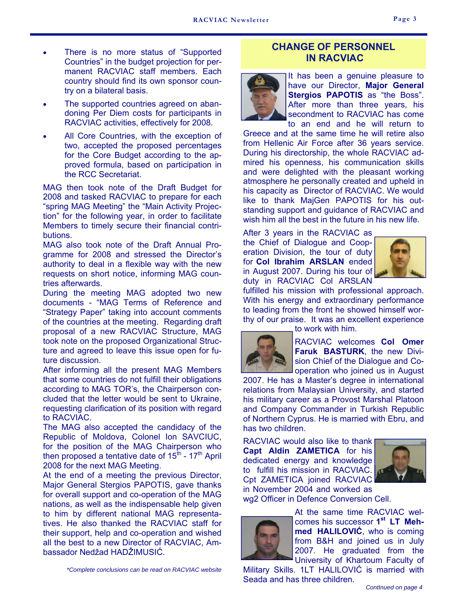- There is no more status of "Supported Countries" in the budget projection for permanent RACVIAC staff members. Each country should find its own sponsor country on a bilateral basis.
- The supported countries agreed on abandoning Per Diem costs for participants in RACVIAC activities, effectively for 2008.
- All Core Countries, with the exception of two, accepted the proposed percentages for the Core Budget according to the approved formula, based on participation in the RCC Secretariat.

MAG then took note of the Draft Budget for 2008 and tasked RACVIAC to prepare for each "spring MAG Meeting" the "Main Activity Projection" for the following year, in order to facilitate Members to timely secure their financial contributions.

MAG also took note of the Draft Annual Programme for 2008 and stressed the Director's authority to deal in a flexible way with the new requests on short notice, informing MAG countries afterwards.

During the meeting MAG adopted two new documents - "MAG Terms of Reference and "Strategy Paper" taking into account comments of the countries at the meeting. Regarding draft proposal of a new RACVIAC Structure, MAG took note on the proposed Organizational Structure and agreed to leave this issue open for future discussion.

After informing all the present MAG Members that some countries do not fulfill their obligations according to MAG TOR's, the Chairperson concluded that the letter would be sent to Ukraine, requesting clarification of its position with regard to RACVIAC.

The MAG also accepted the candidacy of the Republic of Moldova, Colonel Ion SAVCIUC, for the position of the MAG Chairperson who then proposed a tentative date of  $15<sup>th</sup>$  -  $17<sup>th</sup>$  April 2008 for the next MAG Meeting.

At the end of a meeting the previous Director, Major General Stergios PAPOTIS, gave thanks for overall support and co-operation of the MAG nations, as well as the indispensable help given to him by different national MAG representatives. He also thanked the RACVIAC staff for their support, help and co-operation and wished all the best to a new Director of RACVIAC, Ambassador Nedžad HADŽIMUSIĆ.

### **CHANGE OF PERSONNEL IN RACVIAC**



It has been a genuine pleasure to have our Director, **Major General Stergios PAPOTIS** as "the Boss". After more than three years, his secondment to RACVIAC has come to an end and he will return to

Greece and at the same time he will retire also from Hellenic Air Force after 36 years service. During his directorship, the whole RACVIAC admired his openness, his communication skills and were delighted with the pleasant working atmosphere he personally created and upheld in his capacity as Director of RACVIAC. We would like to thank MajGen PAPOTIS for his outstanding support and guidance of RACVIAC and wish him all the best in the future in his new life.

After 3 years in the RACVIAC as the Chief of Dialogue and Cooperation Division, the tour of duty for **Col Ibrahim ARSLAN** ended in August 2007. During his tour of duty in RACVIAC Col ARSLAN



fulfilled his mission with professional approach. With his energy and extraordinary performance to leading from the front he showed himself worthy of our praise. It was an excellent experience

to work with him.



RACVIAC welcomes **Col Omer Faruk BASTURK**, the new Division Chief of the Dialogue and Cooperation who joined us in August

2007. He has a Master's degree in international relations from Malaysian University, and started his military career as a Provost Marshal Platoon and Company Commander in Turkish Republic of Northern Cyprus. He is married with Ebru, and has two children.

RACVIAC would also like to thank **Capt Aldin ZAMETICA** for his dedicated energy and knowledge to fulfill his mission in RACVIAC. Cpt ZAMETICA joined RACVIAC in November 2004 and worked as



wg2 Officer in Defence Conversion Cell.



At the same time RACVIAC welcomes his successor **1st LT Mehmed HALILOVIĆ**, who is coming from B&H and joined us in July 2007. He graduated from the University of Khartoum Faculty of

Military Skills. 1LT HALILOVIĆ is married with Seada and has three children.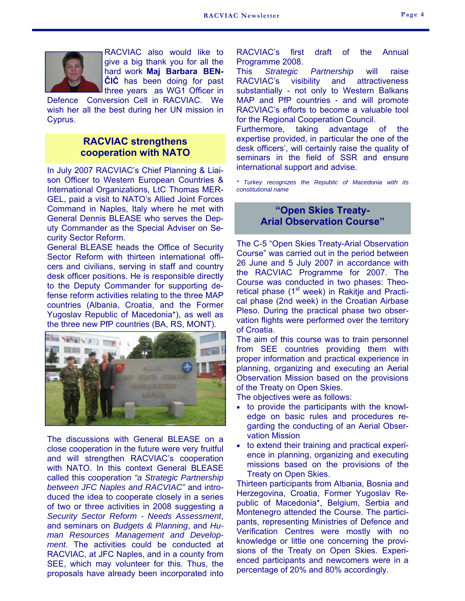

RACVIAC also would like to give a big thank you for all the hard work **Maj Barbara BEN-ČIĆ** has been doing for past three years as WG1 Officer in

Defence Conversion Cell in RACVIAC. We wish her all the best during her UN mission in Cyprus.

#### **RACVIAC strengthens cooperation with NATO**

In July 2007 RACVIAC's Chief Planning & Liaison Officer to Western European Countries & International Organizations, LtC Thomas MER-GEL, paid a visit to NATO's Allied Joint Forces Command in Naples, Italy where he met with General Dennis BLEASE who serves the Deputy Commander as the Special Adviser on Security Sector Reform.

General BLEASE heads the Office of Security Sector Reform with thirteen international officers and civilians, serving in staff and country desk officer positions. He is responsible directly to the Deputy Commander for supporting defense reform activities relating to the three MAP countries (Albania, Croatia, and the Former Yugoslav Republic of Macedonia\*), as well as the three new PfP countries (BA, RS, MONT).



The discussions with General BLEASE on a close cooperation in the future were very fruitful and will strengthen RACVIAC's cooperation with NATO. In this context General BLEASE called this cooperation *"a Strategic Partnership between JFC Naples and RACVIAC"* and introduced the idea to cooperate closely in a series of two or three activities in 2008 suggesting a *Security Sector Reform - Needs Assessment*, and seminars on *Budgets & Planning*, and *Human Resources Management and Development*. The activities could be conducted at RACVIAC, at JFC Naples, and in a county from SEE, which may volunteer for this. Thus, the proposals have already been incorporated into

RACVIAC's first draft of the Annual Programme 2008.

This *Strategic Partnership* will raise RACVIAC's visibility and attractiveness substantially - not only to Western Balkans MAP and PfP countries - and will promote RACVIAC's efforts to become a valuable tool for the Regional Cooperation Council.

Furthermore, taking advantage of the expertise provided, in particular the one of the desk officers', will certainly raise the quality of seminars in the field of SSR and ensure international support and advise.

*\* Turkey recognizes the Republic of Macedonia with its constitutional name* 

#### **"Open Skies Treaty-Arial Observation Course"**

The C-5 "Open Skies Treaty-Arial Observation Course" was carried out in the period between 26 June and 5 July 2007 in accordance with the RACVIAC Programme for 2007. The Course was conducted in two phases: Theoretical phase  $(1<sup>st</sup>$  week) in Rakitje and Practical phase (2nd week) in the Croatian Airbase Pleso. During the practical phase two observation flights were performed over the territory of Croatia.

The aim of this course was to train personnel from SEE countries providing them with proper information and practical experience in planning, organizing and executing an Aerial Observation Mission based on the provisions of the Treaty on Open Skies.

The objectives were as follows:

- to provide the participants with the knowledge on basic rules and procedures regarding the conducting of an Aerial Observation Mission
- to extend their training and practical experience in planning, organizing and executing missions based on the provisions of the Treaty on Open Skies.

Thirteen participants from Albania, Bosnia and Herzegovina, Croatia, Former Yugoslav Republic of Macedonia\*, Belgium, Serbia and Montenegro attended the Course. The participants, representing Ministries of Defence and Verification Centres were mostly with no knowledge or little one concerning the provisions of the Treaty on Open Skies. Experienced participants and newcomers were in a percentage of 20% and 80% accordingly.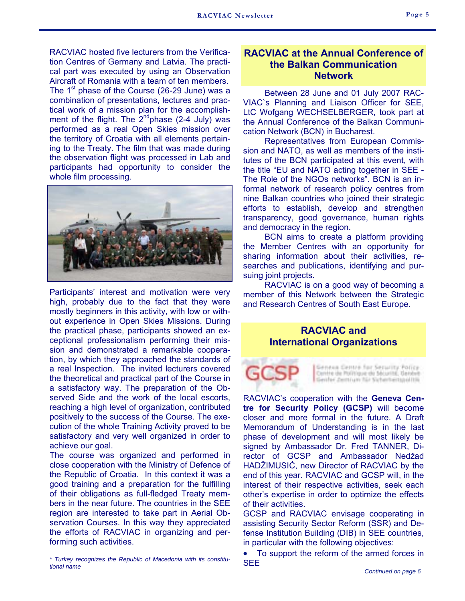RACVIAC hosted five lecturers from the Verification Centres of Germany and Latvia. The practical part was executed by using an Observation Aircraft of Romania with a team of ten members. The  $1^{st}$  phase of the Course (26-29 June) was a combination of presentations, lectures and practical work of a mission plan for the accomplishment of the flight. The  $2^{nd}$ phase (2-4 July) was performed as a real Open Skies mission over the territory of Croatia with all elements pertaining to the Treaty. The film that was made during the observation flight was processed in Lab and participants had opportunity to consider the whole film processing.



Participants' interest and motivation were very high, probably due to the fact that they were mostly beginners in this activity, with low or without experience in Open Skies Missions. During the practical phase, participants showed an exceptional professionalism performing their mission and demonstrated a remarkable cooperation, by which they approached the standards of a real Inspection. The invited lecturers covered the theoretical and practical part of the Course in a satisfactory way. The preparation of the Observed Side and the work of the local escorts, reaching a high level of organization, contributed positively to the success of the Course. The execution of the whole Training Activity proved to be satisfactory and very well organized in order to achieve our goal.

The course was organized and performed in close cooperation with the Ministry of Defence of the Republic of Croatia. In this context it was a good training and a preparation for the fulfilling of their obligations as full-fledged Treaty members in the near future. The countries in the SEE region are interested to take part in Aerial Observation Courses. In this way they appreciated the efforts of RACVIAC in organizing and performing such activities.

*\* Turkey recognizes the Republic of Macedonia with its constitutional name* 

#### **RACVIAC at the Annual Conference of the Balkan Communication Network**

 Between 28 June and 01 July 2007 RAC-VIAC`s Planning and Liaison Officer for SEE, LtC Wofgang WECHSELBERGER, took part at the Annual Conference of the Balkan Communication Network (BCN) in Bucharest.

 Representatives from European Commission and NATO, as well as members of the institutes of the BCN participated at this event, with the title "EU and NATO acting together in SEE - The Role of the NGOs networks". BCN is an informal network of research policy centres from nine Balkan countries who joined their strategic efforts to establish, develop and strengthen transparency, good governance, human rights and democracy in the region.

 BCN aims to create a platform providing the Member Centres with an opportunity for sharing information about their activities, researches and publications, identifying and pursuing joint projects.

 RACVIAC is on a good way of becoming a member of this Network between the Strategic and Research Centres of South East Europe.

### **RACVIAC and International Organizations**

Geneva Centra for Security Police: Centre de Politique de Sécurité, Genévé-Berlei Zentium Nii Sicherbeitspolitis

RACVIAC's cooperation with the **Geneva Centre for Security Policy (GCSP)** will become closer and more formal in the future. A Draft Memorandum of Understanding is in the last phase of development and will most likely be signed by Ambassador Dr. Fred TANNER, Director of GCSP and Ambassador Nedžad HADŽIMUSIĆ, new Director of RACVIAC by the end of this year. RACVIAC and GCSP will, in the interest of their respective activities, seek each other's expertise in order to optimize the effects of their activities.

GCSP and RACVIAC envisage cooperating in assisting Security Sector Reform (SSR) and Defense Institution Building (DIB) in SEE countries, in particular with the following objectives:

• To support the reform of the armed forces in SEE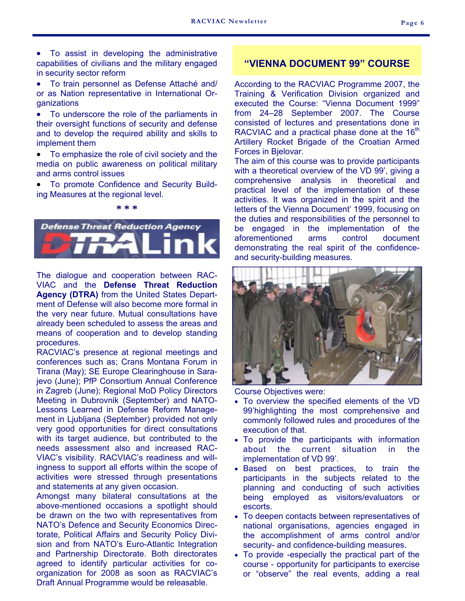- To assist in developing the administrative capabilities of civilians and the military engaged in security sector reform
- To train personnel as Defense Attaché and/ or as Nation representative in International Organizations
- To underscore the role of the parliaments in their oversight functions of security and defense and to develop the required ability and skills to implement them
- To emphasize the role of civil society and the media on public awareness on political military and arms control issues
- To promote Confidence and Security Building Measures at the regional level.

**\* \* \***



The dialogue and cooperation between RAC-VIAC and the **Defense Threat Reduction Agency (DTRA)** from the United States Department of Defense will also become more formal in the very near future. Mutual consultations have already been scheduled to assess the areas and means of cooperation and to develop standing procedures.

RACVIAC's presence at regional meetings and conferences such as; Crans Montana Forum in Tirana (May); SE Europe Clearinghouse in Sarajevo (June); PfP Consortium Annual Conference in Zagreb (June); Regional MoD Policy Directors Meeting in Dubrovnik (September) and NATO-Lessons Learned in Defense Reform Management in Ljubljana (September) provided not only very good opportunities for direct consultations with its target audience, but contributed to the needs assessment also and increased RAC-VIAC's visibility. RACVIAC's readiness and willingness to support all efforts within the scope of activities were stressed through presentations and statements at any given occasion.

Amongst many bilateral consultations at the above-mentioned occasions a spotlight should be drawn on the two with representatives from NATO's Defence and Security Economics Directorate, Political Affairs and Security Policy Division and from NATO's Euro-Atlantic Integration and Partnership Directorate. Both directorates agreed to identify particular activities for coorganization for 2008 as soon as RACVIAC's Draft Annual Programme would be releasable.

#### **"VIENNA DOCUMENT 99" COURSE**

According to the RACVIAC Programme 2007, the Training & Verification Division organized and executed the Course: "Vienna Document 1999" from 24–28 September 2007. The Course consisted of lectures and presentations done in RACVIAC and a practical phase done at the  $16<sup>th</sup>$ Artillery Rocket Brigade of the Croatian Armed Forces in Bjelovar.

The aim of this course was to provide participants with a theoretical overview of the VD 99', giving a comprehensive analysis in theoretical and practical level of the implementation of these activities. It was organized in the spirit and the letters of the Vienna Document' 1999, focusing on the duties and responsibilities of the personnel to be engaged in the implementation of the aforementioned arms control document demonstrating the real spirit of the confidenceand security-building measures.



Course Objectives were:

- To overview the specified elements of the VD 99'highlighting the most comprehensive and commonly followed rules and procedures of the execution of that.
- To provide the participants with information about the current situation in the implementation of VD 99'.
- Based on best practices, to train the participants in the subjects related to the planning and conducting of such activities being employed as visitors/evaluators or escorts.
- To deepen contacts between representatives of national organisations, agencies engaged in the accomplishment of arms control and/or security- and confidence-building measures.
- To provide -especially the practical part of the course - opportunity for participants to exercise or "observe" the real events, adding a real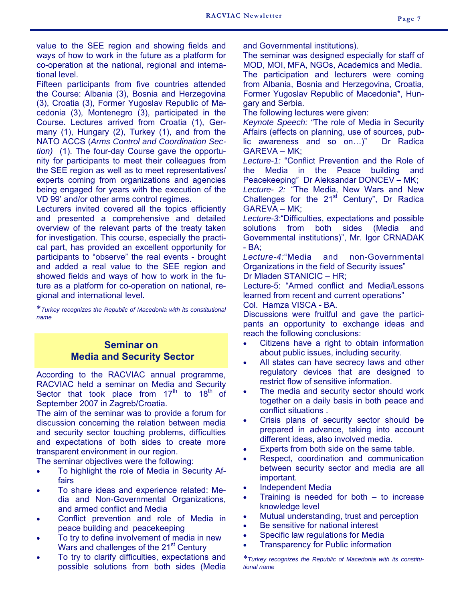value to the SEE region and showing fields and ways of how to work in the future as a platform for co-operation at the national, regional and international level.

Fifteen participants from five countries attended the Course: Albania (3), Bosnia and Herzegovina (3), Croatia (3), Former Yugoslav Republic of Macedonia (3), Montenegro (3), participated in the Course. Lectures arrived from Croatia (1), Germany (1), Hungary (2), Turkey (1), and from the NATO ACCS (*Arms Control and Coordination Section)* (1). The four-day Course gave the opportunity for participants to meet their colleagues from the SEE region as well as to meet representatives/ experts coming from organizations and agencies being engaged for years with the execution of the VD 99' and/or other arms control regimes.

Lecturers invited covered all the topics efficiently and presented a comprehensive and detailed overview of the relevant parts of the treaty taken for investigation. This course, especially the practical part, has provided an excellent opportunity for participants to "observe" the real events - brought and added a real value to the SEE region and showed fields and ways of how to work in the future as a platform for co-operation on national, regional and international level.

\**Turkey recognizes the Republic of Macedonia with its constitutional name* 

### **Seminar on Media and Security Sector**

According to the RACVIAC annual programme, RACVIAC held a seminar on Media and Security Sector that took place from  $17<sup>th</sup>$  to  $18<sup>th</sup>$  of September 2007 in Zagreb/Croatia.

The aim of the seminar was to provide a forum for discussion concerning the relation between media and security sector touching problems, difficulties and expectations of both sides to create more transparent environment in our region.

The seminar objectives were the following:

- To highlight the role of Media in Security Affairs
- To share ideas and experience related: Media and Non-Governmental Organizations, and armed conflict and Media
- Conflict prevention and role of Media in peace building and peacekeeping
- To try to define involvement of media in new Wars and challenges of the  $21<sup>st</sup>$  Century
- To try to clarify difficulties, expectations and possible solutions from both sides (Media

and Governmental institutions).

The seminar was designed especially for staff of MOD, MOI, MFA, NGOs, Academics and Media. The participation and lecturers were coming

from Albania, Bosnia and Herzegovina, Croatia, Former Yugoslav Republic of Macedonia\*, Hungary and Serbia.

The following lectures were given:

*Keynote Speech: "*The role of Media in Security Affairs (effects on planning, use of sources, public awareness and so on…)" Dr Radica GAREVA – MK;

*Lecture-1:* "Conflict Prevention and the Role of the Media in the Peace building and Peacekeeping" Dr Aleksandar DONCEV – MK;

*Lecture- 2:* "The Media, New Wars and New Challenges for the  $21<sup>st</sup>$  Century", Dr Radica GAREVA – MK;

*Lecture-3:*"Difficulties, expectations and possible solutions from both sides (Media and Governmental institutions)", Mr. Igor CRNADAK - BA;

*Lecture-4:*"Media and non-Governmental Organizations in the field of Security issues" Dr Mladen STANICIC – HR;

Lecture-5: "Armed conflict and Media/Lessons learned from recent and current operations"

Col. Hamza VISCA - BA.

Discussions were fruitful and gave the participants an opportunity to exchange ideas and reach the following conclusions:

- Citizens have a right to obtain information about public issues, including security.
- All states can have secrecy laws and other regulatory devices that are designed to restrict flow of sensitive information.
- The media and security sector should work together on a daily basis in both peace and conflict situations .
- Crisis plans of security sector should be prepared in advance, taking into account different ideas, also involved media.
- Experts from both side on the same table.
- Respect, coordination and communication between security sector and media are all important.
- Independent Media
- Training is needed for both  $-$  to increase knowledge level
- Mutual understanding, trust and perception
- Be sensitive for national interest
- Specific law regulations for Media
- Transparency for Public information

\**Turkey recognizes the Republic of Macedonia with its constitutional name*